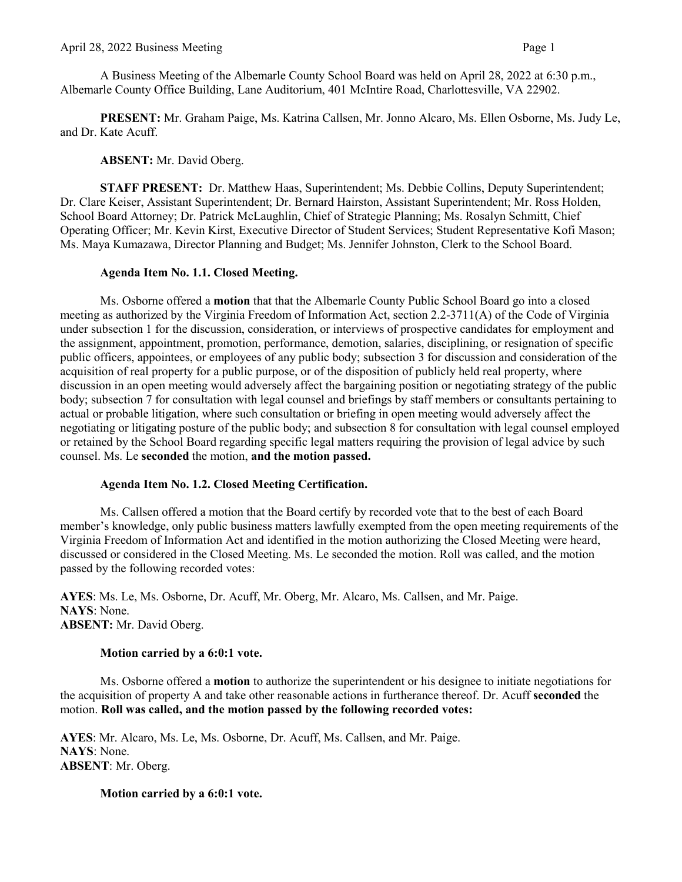A Business Meeting of the Albemarle County School Board was held on April 28, 2022 at 6:30 p.m., Albemarle County Office Building, Lane Auditorium, 401 McIntire Road, Charlottesville, VA 22902.

**PRESENT:** Mr. Graham Paige, Ms. Katrina Callsen, Mr. Jonno Alcaro, Ms. Ellen Osborne, Ms. Judy Le, and Dr. Kate Acuff.

**ABSENT:** Mr. David Oberg.

**STAFF PRESENT:** Dr. Matthew Haas, Superintendent; Ms. Debbie Collins, Deputy Superintendent; Dr. Clare Keiser, Assistant Superintendent; Dr. Bernard Hairston, Assistant Superintendent; Mr. Ross Holden, School Board Attorney; Dr. Patrick McLaughlin, Chief of Strategic Planning; Ms. Rosalyn Schmitt, Chief Operating Officer; Mr. Kevin Kirst, Executive Director of Student Services; Student Representative Kofi Mason; Ms. Maya Kumazawa, Director Planning and Budget; Ms. Jennifer Johnston, Clerk to the School Board.

### **Agenda Item No. 1.1. Closed Meeting.**

Ms. Osborne offered a **motion** that that the Albemarle County Public School Board go into a closed meeting as authorized by the Virginia Freedom of Information Act, section 2.2-3711(A) of the Code of Virginia under subsection 1 for the discussion, consideration, or interviews of prospective candidates for employment and the assignment, appointment, promotion, performance, demotion, salaries, disciplining, or resignation of specific public officers, appointees, or employees of any public body; subsection 3 for discussion and consideration of the acquisition of real property for a public purpose, or of the disposition of publicly held real property, where discussion in an open meeting would adversely affect the bargaining position or negotiating strategy of the public body; subsection 7 for consultation with legal counsel and briefings by staff members or consultants pertaining to actual or probable litigation, where such consultation or briefing in open meeting would adversely affect the negotiating or litigating posture of the public body; and subsection 8 for consultation with legal counsel employed or retained by the School Board regarding specific legal matters requiring the provision of legal advice by such counsel. Ms. Le **seconded** the motion, **and the motion passed.**

#### **Agenda Item No. 1.2. Closed Meeting Certification.**

Ms. Callsen offered a motion that the Board certify by recorded vote that to the best of each Board member's knowledge, only public business matters lawfully exempted from the open meeting requirements of the Virginia Freedom of Information Act and identified in the motion authorizing the Closed Meeting were heard, discussed or considered in the Closed Meeting. Ms. Le seconded the motion. Roll was called, and the motion passed by the following recorded votes:

**AYES**: Ms. Le, Ms. Osborne, Dr. Acuff, Mr. Oberg, Mr. Alcaro, Ms. Callsen, and Mr. Paige. **NAYS**: None. **ABSENT:** Mr. David Oberg.

## **Motion carried by a 6:0:1 vote.**

Ms. Osborne offered a **motion** to authorize the superintendent or his designee to initiate negotiations for the acquisition of property A and take other reasonable actions in furtherance thereof. Dr. Acuff **seconded** the motion. **Roll was called, and the motion passed by the following recorded votes:**

**AYES**: Mr. Alcaro, Ms. Le, Ms. Osborne, Dr. Acuff, Ms. Callsen, and Mr. Paige. **NAYS**: None. **ABSENT**: Mr. Oberg.

## **Motion carried by a 6:0:1 vote.**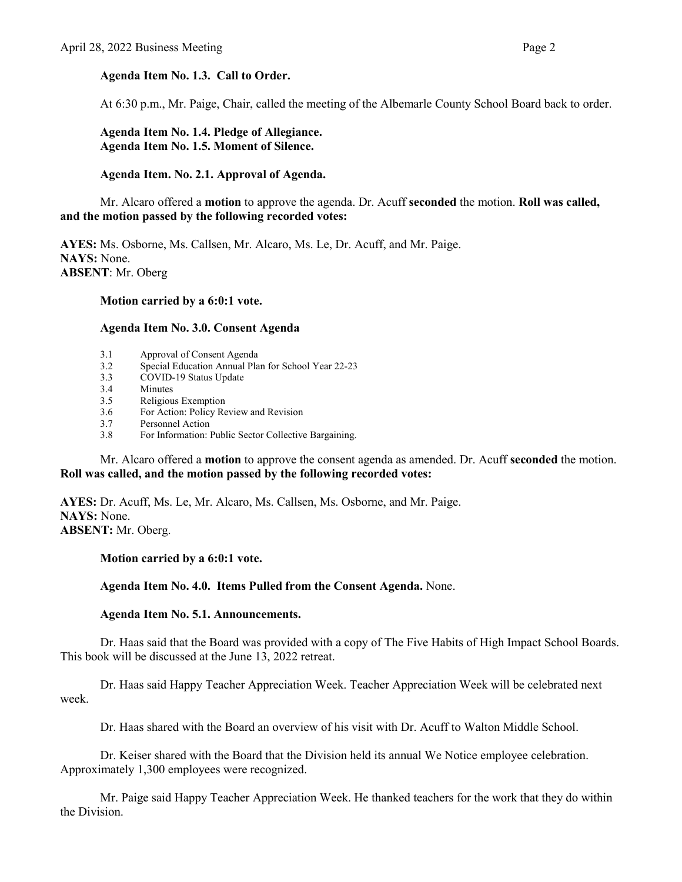## **Agenda Item No. 1.3. Call to Order.**

At 6:30 p.m., Mr. Paige, Chair, called the meeting of the Albemarle County School Board back to order.

**Agenda Item No. 1.4. Pledge of Allegiance. Agenda Item No. 1.5. Moment of Silence.** 

### **Agenda Item. No. 2.1. Approval of Agenda.**

Mr. Alcaro offered a **motion** to approve the agenda. Dr. Acuff **seconded** the motion. **Roll was called, and the motion passed by the following recorded votes:** 

**AYES:** Ms. Osborne, Ms. Callsen, Mr. Alcaro, Ms. Le, Dr. Acuff, and Mr. Paige. **NAYS:** None. **ABSENT**: Mr. Oberg

#### **Motion carried by a 6:0:1 vote.**

#### **Agenda Item No. 3.0. Consent Agenda**

- 3.1 Approval of Consent Agenda<br>3.2 Special Education Annual Plan
- 3.2 Special Education Annual Plan for School Year 22-23
- 3.3 COVID-19 Status Update
- 3.4 Minutes
- 3.5 Religious Exemption
- 3.6 For Action: Policy Review and Revision<br>3.7 Personnel Action
- Personnel Action
- 3.8 For Information: Public Sector Collective Bargaining.

Mr. Alcaro offered a **motion** to approve the consent agenda as amended. Dr. Acuff **seconded** the motion. **Roll was called, and the motion passed by the following recorded votes:**

**AYES:** Dr. Acuff, Ms. Le, Mr. Alcaro, Ms. Callsen, Ms. Osborne, and Mr. Paige. **NAYS:** None. **ABSENT:** Mr. Oberg.

**Motion carried by a 6:0:1 vote.** 

**Agenda Item No. 4.0. Items Pulled from the Consent Agenda.** None.

#### **Agenda Item No. 5.1. Announcements.**

Dr. Haas said that the Board was provided with a copy of The Five Habits of High Impact School Boards. This book will be discussed at the June 13, 2022 retreat.

Dr. Haas said Happy Teacher Appreciation Week. Teacher Appreciation Week will be celebrated next week.

Dr. Haas shared with the Board an overview of his visit with Dr. Acuff to Walton Middle School.

Dr. Keiser shared with the Board that the Division held its annual We Notice employee celebration. Approximately 1,300 employees were recognized.

Mr. Paige said Happy Teacher Appreciation Week. He thanked teachers for the work that they do within the Division.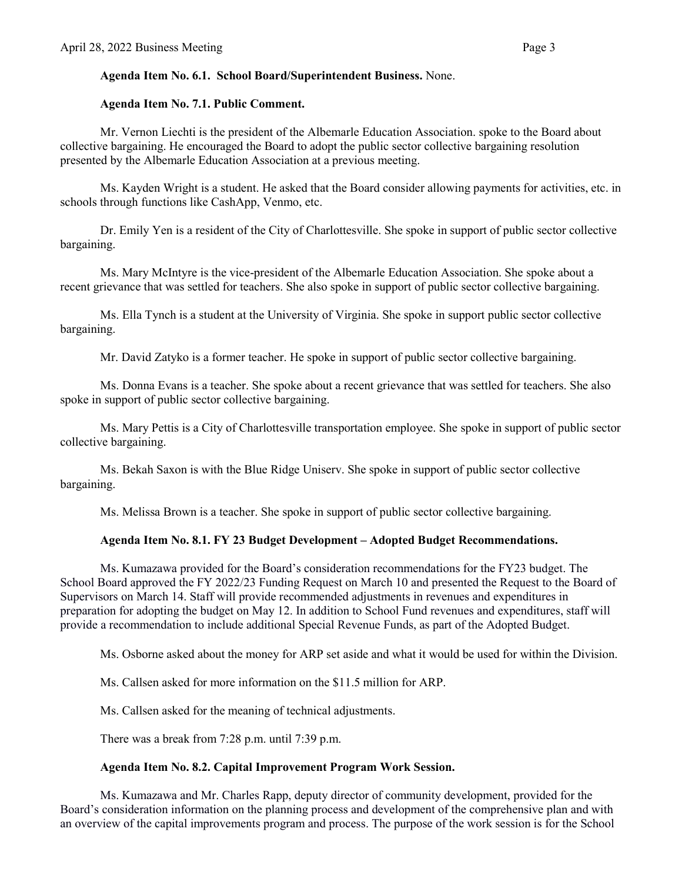# **Agenda Item No. 6.1. School Board/Superintendent Business.** None.

# **Agenda Item No. 7.1. Public Comment.**

Mr. Vernon Liechti is the president of the Albemarle Education Association. spoke to the Board about collective bargaining. He encouraged the Board to adopt the public sector collective bargaining resolution presented by the Albemarle Education Association at a previous meeting.

Ms. Kayden Wright is a student. He asked that the Board consider allowing payments for activities, etc. in schools through functions like CashApp, Venmo, etc.

Dr. Emily Yen is a resident of the City of Charlottesville. She spoke in support of public sector collective bargaining.

Ms. Mary McIntyre is the vice-president of the Albemarle Education Association. She spoke about a recent grievance that was settled for teachers. She also spoke in support of public sector collective bargaining.

Ms. Ella Tynch is a student at the University of Virginia. She spoke in support public sector collective bargaining.

Mr. David Zatyko is a former teacher. He spoke in support of public sector collective bargaining.

 Ms. Donna Evans is a teacher. She spoke about a recent grievance that was settled for teachers. She also spoke in support of public sector collective bargaining.

Ms. Mary Pettis is a City of Charlottesville transportation employee. She spoke in support of public sector collective bargaining.

Ms. Bekah Saxon is with the Blue Ridge Uniserv. She spoke in support of public sector collective bargaining.

Ms. Melissa Brown is a teacher. She spoke in support of public sector collective bargaining.

## **Agenda Item No. 8.1. FY 23 Budget Development – Adopted Budget Recommendations.**

Ms. Kumazawa provided for the Board's consideration recommendations for the FY23 budget. The School Board approved the FY 2022/23 Funding Request on March 10 and presented the Request to the Board of Supervisors on March 14. Staff will provide recommended adjustments in revenues and expenditures in preparation for adopting the budget on May 12. In addition to School Fund revenues and expenditures, staff will provide a recommendation to include additional Special Revenue Funds, as part of the Adopted Budget.

Ms. Osborne asked about the money for ARP set aside and what it would be used for within the Division.

Ms. Callsen asked for more information on the \$11.5 million for ARP.

Ms. Callsen asked for the meaning of technical adjustments.

There was a break from 7:28 p.m. until 7:39 p.m.

# **Agenda Item No. 8.2. Capital Improvement Program Work Session.**

Ms. Kumazawa and Mr. Charles Rapp, deputy director of community development, provided for the Board's consideration information on the planning process and development of the comprehensive plan and with an overview of the capital improvements program and process. The purpose of the work session is for the School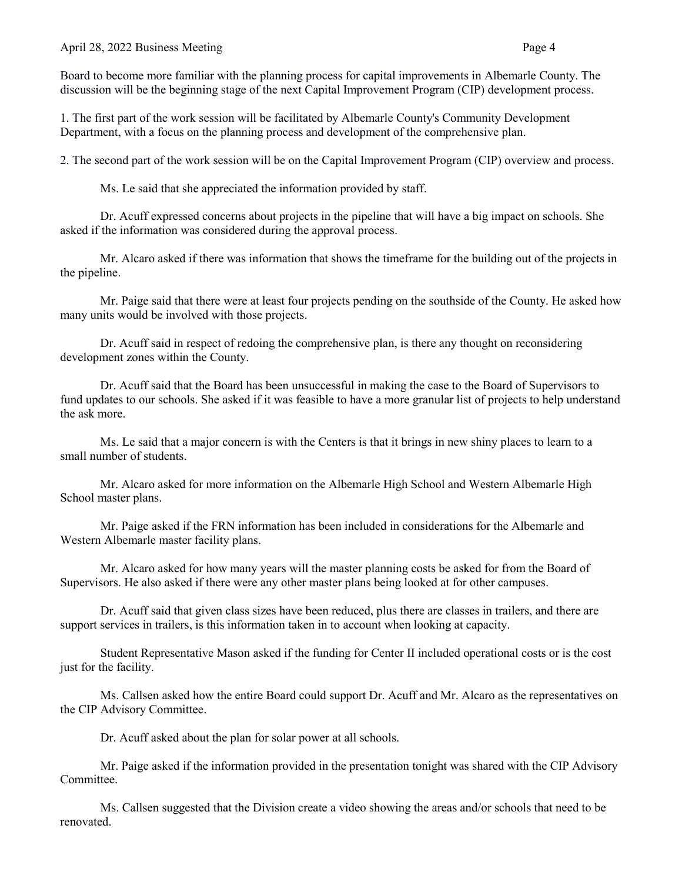### April 28, 2022 Business Meeting Page 4

Board to become more familiar with the planning process for capital improvements in Albemarle County. The discussion will be the beginning stage of the next Capital Improvement Program (CIP) development process.

1. The first part of the work session will be facilitated by Albemarle County's Community Development Department, with a focus on the planning process and development of the comprehensive plan.

2. The second part of the work session will be on the Capital Improvement Program (CIP) overview and process.

Ms. Le said that she appreciated the information provided by staff.

Dr. Acuff expressed concerns about projects in the pipeline that will have a big impact on schools. She asked if the information was considered during the approval process.

Mr. Alcaro asked if there was information that shows the timeframe for the building out of the projects in the pipeline.

Mr. Paige said that there were at least four projects pending on the southside of the County. He asked how many units would be involved with those projects.

Dr. Acuff said in respect of redoing the comprehensive plan, is there any thought on reconsidering development zones within the County.

Dr. Acuff said that the Board has been unsuccessful in making the case to the Board of Supervisors to fund updates to our schools. She asked if it was feasible to have a more granular list of projects to help understand the ask more.

Ms. Le said that a major concern is with the Centers is that it brings in new shiny places to learn to a small number of students.

Mr. Alcaro asked for more information on the Albemarle High School and Western Albemarle High School master plans.

Mr. Paige asked if the FRN information has been included in considerations for the Albemarle and Western Albemarle master facility plans.

Mr. Alcaro asked for how many years will the master planning costs be asked for from the Board of Supervisors. He also asked if there were any other master plans being looked at for other campuses.

Dr. Acuff said that given class sizes have been reduced, plus there are classes in trailers, and there are support services in trailers, is this information taken in to account when looking at capacity.

 Student Representative Mason asked if the funding for Center II included operational costs or is the cost just for the facility.

Ms. Callsen asked how the entire Board could support Dr. Acuff and Mr. Alcaro as the representatives on the CIP Advisory Committee.

Dr. Acuff asked about the plan for solar power at all schools.

Mr. Paige asked if the information provided in the presentation tonight was shared with the CIP Advisory Committee.

Ms. Callsen suggested that the Division create a video showing the areas and/or schools that need to be renovated.